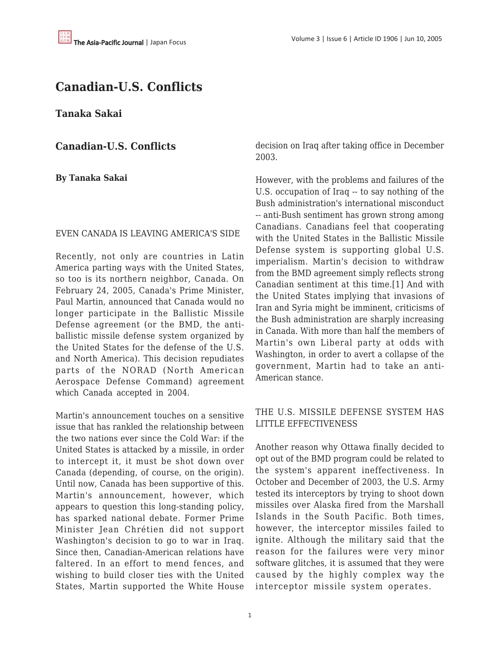# **Canadian-U.S. Conflicts**

**Tanaka Sakai**

**Canadian-U.S. Conflicts**

**By Tanaka Sakai**

#### EVEN CANADA IS LEAVING AMERICA'S SIDE

Recently, not only are countries in Latin America parting ways with the United States, so too is its northern neighbor, Canada. On February 24, 2005, Canada's Prime Minister, Paul Martin, announced that Canada would no longer participate in the Ballistic Missile Defense agreement (or the BMD, the antiballistic missile defense system organized by the United States for the defense of the U.S. and North America). This decision repudiates parts of the NORAD (North American Aerospace Defense Command) agreement which Canada accepted in 2004.

Martin's announcement touches on a sensitive issue that has rankled the relationship between the two nations ever since the Cold War: if the United States is attacked by a missile, in order to intercept it, it must be shot down over Canada (depending, of course, on the origin). Until now, Canada has been supportive of this. Martin's announcement, however, which appears to question this long-standing policy, has sparked national debate. Former Prime Minister Jean Chrétien did not support Washington's decision to go to war in Iraq. Since then, Canadian-American relations have faltered. In an effort to mend fences, and wishing to build closer ties with the United States, Martin supported the White House decision on Iraq after taking office in December 2003.

However, with the problems and failures of the U.S. occupation of Iraq -- to say nothing of the Bush administration's international misconduct -- anti-Bush sentiment has grown strong among Canadians. Canadians feel that cooperating with the United States in the Ballistic Missile Defense system is supporting global U.S. imperialism. Martin's decision to withdraw from the BMD agreement simply reflects strong Canadian sentiment at this time.[1] And with the United States implying that invasions of Iran and Syria might be imminent, criticisms of the Bush administration are sharply increasing in Canada. With more than half the members of Martin's own Liberal party at odds with Washington, in order to avert a collapse of the government, Martin had to take an anti-American stance.

### THE U.S. MISSILE DEFENSE SYSTEM HAS LITTLE EFFECTIVENESS

Another reason why Ottawa finally decided to opt out of the BMD program could be related to the system's apparent ineffectiveness. In October and December of 2003, the U.S. Army tested its interceptors by trying to shoot down missiles over Alaska fired from the Marshall Islands in the South Pacific. Both times, however, the interceptor missiles failed to ignite. Although the military said that the reason for the failures were very minor software glitches, it is assumed that they were caused by the highly complex way the interceptor missile system operates.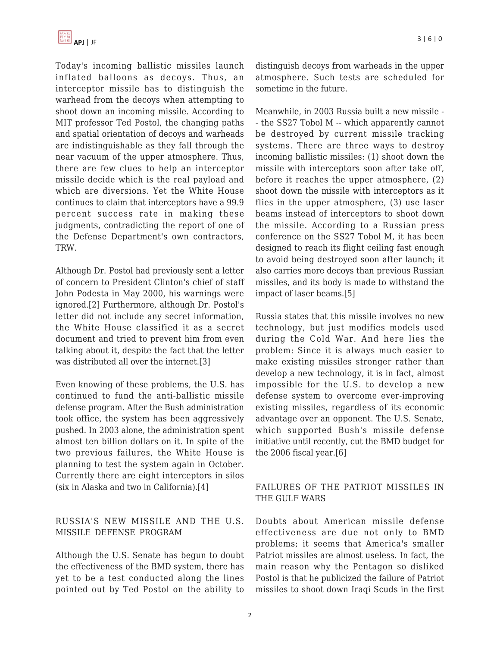Today's incoming ballistic missiles launch inflated balloons as decoys. Thus, an interceptor missile has to distinguish the warhead from the decoys when attempting to shoot down an incoming missile. According to MIT professor Ted Postol, the changing paths and spatial orientation of decoys and warheads are indistinguishable as they fall through the near vacuum of the upper atmosphere. Thus, there are few clues to help an interceptor missile decide which is the real payload and which are diversions. Yet the White House continues to claim that interceptors have a 99.9 percent success rate in making these judgments, contradicting the report of one of the Defense Department's own contractors, TRW.

Although Dr. Postol had previously sent a letter of concern to President Clinton's chief of staff John Podesta in May 2000, his warnings were ignored.[2] Furthermore, although Dr. Postol's letter did not include any secret information, the White House classified it as a secret document and tried to prevent him from even talking about it, despite the fact that the letter was distributed all over the internet.[3]

Even knowing of these problems, the U.S. has continued to fund the anti-ballistic missile defense program. After the Bush administration took office, the system has been aggressively pushed. In 2003 alone, the administration spent almost ten billion dollars on it. In spite of the two previous failures, the White House is planning to test the system again in October. Currently there are eight interceptors in silos (six in Alaska and two in California).[4]

### RUSSIA'S NEW MISSILE AND THE U.S. MISSILE DEFENSE PROGRAM

Although the U.S. Senate has begun to doubt the effectiveness of the BMD system, there has yet to be a test conducted along the lines pointed out by Ted Postol on the ability to distinguish decoys from warheads in the upper atmosphere. Such tests are scheduled for sometime in the future.

Meanwhile, in 2003 Russia built a new missile - - the SS27 Tobol M -- which apparently cannot be destroyed by current missile tracking systems. There are three ways to destroy incoming ballistic missiles: (1) shoot down the missile with interceptors soon after take off, before it reaches the upper atmosphere, (2) shoot down the missile with interceptors as it flies in the upper atmosphere, (3) use laser beams instead of interceptors to shoot down the missile. According to a Russian press conference on the SS27 Tobol M, it has been designed to reach its flight ceiling fast enough to avoid being destroyed soon after launch; it also carries more decoys than previous Russian missiles, and its body is made to withstand the impact of laser beams.[5]

Russia states that this missile involves no new technology, but just modifies models used during the Cold War. And here lies the problem: Since it is always much easier to make existing missiles stronger rather than develop a new technology, it is in fact, almost impossible for the U.S. to develop a new defense system to overcome ever-improving existing missiles, regardless of its economic advantage over an opponent. The U.S. Senate, which supported Bush's missile defense initiative until recently, cut the BMD budget for the 2006 fiscal year.[6]

### FAILURES OF THE PATRIOT MISSILES IN THE GULF WARS

Doubts about American missile defense effectiveness are due not only to BMD problems; it seems that America's smaller Patriot missiles are almost useless. In fact, the main reason why the Pentagon so disliked Postol is that he publicized the failure of Patriot missiles to shoot down Iraqi Scuds in the first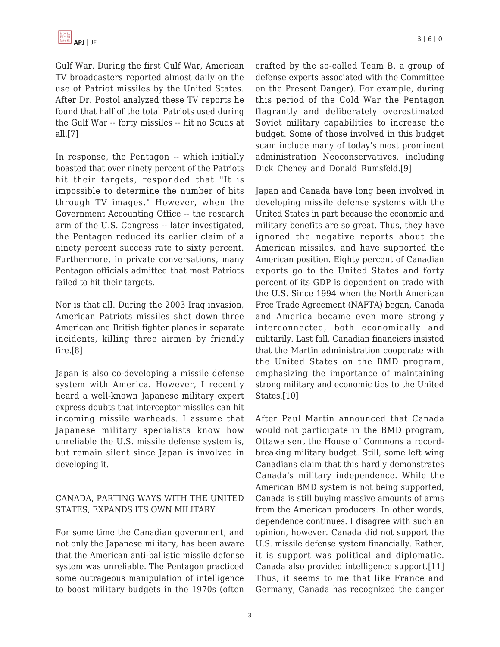Gulf War. During the first Gulf War, American TV broadcasters reported almost daily on the use of Patriot missiles by the United States. After Dr. Postol analyzed these TV reports he found that half of the total Patriots used during the Gulf War -- forty missiles -- hit no Scuds at all.[7]

In response, the Pentagon -- which initially boasted that over ninety percent of the Patriots hit their targets, responded that "It is impossible to determine the number of hits through TV images." However, when the Government Accounting Office -- the research arm of the U.S. Congress -- later investigated, the Pentagon reduced its earlier claim of a ninety percent success rate to sixty percent. Furthermore, in private conversations, many Pentagon officials admitted that most Patriots failed to hit their targets.

Nor is that all. During the 2003 Iraq invasion, American Patriots missiles shot down three American and British fighter planes in separate incidents, killing three airmen by friendly fire.[8]

Japan is also co-developing a missile defense system with America. However, I recently heard a well-known Japanese military expert express doubts that interceptor missiles can hit incoming missile warheads. I assume that Japanese military specialists know how unreliable the U.S. missile defense system is, but remain silent since Japan is involved in developing it.

### CANADA, PARTING WAYS WITH THE UNITED STATES, EXPANDS ITS OWN MILITARY

For some time the Canadian government, and not only the Japanese military, has been aware that the American anti-ballistic missile defense system was unreliable. The Pentagon practiced some outrageous manipulation of intelligence to boost military budgets in the 1970s (often crafted by the so-called Team B, a group of defense experts associated with the Committee on the Present Danger). For example, during this period of the Cold War the Pentagon flagrantly and deliberately overestimated Soviet military capabilities to increase the budget. Some of those involved in this budget scam include many of today's most prominent administration Neoconservatives, including Dick Cheney and Donald Rumsfeld.[9]

Japan and Canada have long been involved in developing missile defense systems with the United States in part because the economic and military benefits are so great. Thus, they have ignored the negative reports about the American missiles, and have supported the American position. Eighty percent of Canadian exports go to the United States and forty percent of its GDP is dependent on trade with the U.S. Since 1994 when the North American Free Trade Agreement (NAFTA) began, Canada and America became even more strongly interconnected, both economically and militarily. Last fall, Canadian financiers insisted that the Martin administration cooperate with the United States on the BMD program, emphasizing the importance of maintaining strong military and economic ties to the United States.[10]

After Paul Martin announced that Canada would not participate in the BMD program, Ottawa sent the House of Commons a recordbreaking military budget. Still, some left wing Canadians claim that this hardly demonstrates Canada's military independence. While the American BMD system is not being supported, Canada is still buying massive amounts of arms from the American producers. In other words, dependence continues. I disagree with such an opinion, however. Canada did not support the U.S. missile defense system financially. Rather, it is support was political and diplomatic. Canada also provided intelligence support.[11] Thus, it seems to me that like France and Germany, Canada has recognized the danger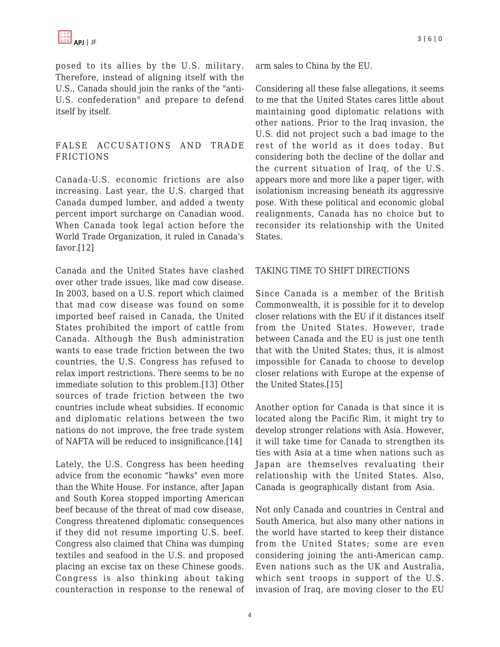posed to its allies by the U.S. military. Therefore, instead of aligning itself with the U.S., Canada should join the ranks of the "anti-U.S. confederation" and prepare to defend itself by itself.

#### FALSE ACCUSATIONS AND TRADE FRICTIONS

Canada-U.S. economic frictions are also increasing. Last year, the U.S. charged that Canada dumped lumber, and added a twenty percent import surcharge on Canadian wood. When Canada took legal action before the World Trade Organization, it ruled in Canada's favor.[12]

Canada and the United States have clashed over other trade issues, like mad cow disease. In 2003, based on a U.S. report which claimed that mad cow disease was found on some imported beef raised in Canada, the United States prohibited the import of cattle from Canada. Although the Bush administration wants to ease trade friction between the two countries, the U.S. Congress has refused to relax import restrictions. There seems to be no immediate solution to this problem.[13] Other sources of trade friction between the two countries include wheat subsidies. If economic and diplomatic relations between the two nations do not improve, the free trade system of NAFTA will be reduced to insignificance.[14]

Lately, the U.S. Congress has been heeding advice from the economic "hawks" even more than the White House. For instance, after Japan and South Korea stopped importing American beef because of the threat of mad cow disease, Congress threatened diplomatic consequences if they did not resume importing U.S. beef. Congress also claimed that China was dumping textiles and seafood in the U.S. and proposed placing an excise tax on these Chinese goods. Congress is also thinking about taking counteraction in response to the renewal of arm sales to China by the EU.

Considering all these false allegations, it seems to me that the United States cares little about maintaining good diplomatic relations with other nations. Prior to the Iraq invasion, the U.S. did not project such a bad image to the rest of the world as it does today. But considering both the decline of the dollar and the current situation of Iraq, of the U.S. appears more and more like a paper tiger, with isolationism increasing beneath its aggressive pose. With these political and economic global realignments, Canada has no choice but to reconsider its relationship with the United States.

#### TAKING TIME TO SHIFT DIRECTIONS

Since Canada is a member of the British Commonwealth, it is possible for it to develop closer relations with the EU if it distances itself from the United States. However, trade between Canada and the EU is just one tenth that with the United States; thus, it is almost impossible for Canada to choose to develop closer relations with Europe at the expense of the United States.[15]

Another option for Canada is that since it is located along the Pacific Rim, it might try to develop stronger relations with Asia. However, it will take time for Canada to strengthen its ties with Asia at a time when nations such as Japan are themselves revaluating their relationship with the United States. Also, Canada is geographically distant from Asia.

Not only Canada and countries in Central and South America, but also many other nations in the world have started to keep their distance from the United States; some are even considering joining the anti-American camp. Even nations such as the UK and Australia, which sent troops in support of the U.S. invasion of Iraq, are moving closer to the EU